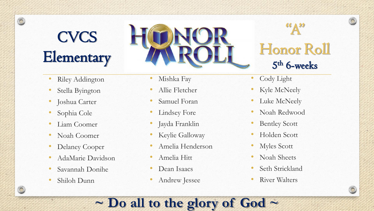# **CVCS Elementary**

 $\circledcirc$ 

- **Riley Addington**
- Stella Byington
- Joshua Carter
- Sophia Cole
- Liam Coomer
- Noah Coomer
- Delaney Cooper
- AdaMarie Davidson
- Savannah Donihe
- Shiloh Dunn
- Mishka Fay
- Allie Fletcher
- Samuel Foran
- Lindsey Fore
- Jayda Franklin
- Keylie Galloway
- Amelia Henderson
- Amelia Hitt
- Dean Isaacs
- Andrew Jessee

**~ Do all to the glory of God ~**

## $\mathbf{R}^{(k)}$ Honor Roll 5 th 6-weeks

 $\odot$ 

- Cody Light
- Kyle McNeely
- Luke McNeely
- Noah Redwood
- Bentley Scott
- Holden Scott
- Myles Scott
- Noah Sheets
- Seth Strickland
- River Walters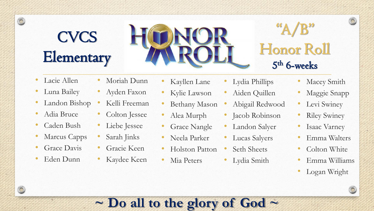## **CVCS Elementary**



## $A/B$ " Honor Roll 5 th 6-weeks

Lacie Allen

 $\circledcirc$ 

 $\circledcirc$ 

- Luna Bailey
- Landon Bishop
- Adia Bruce
- Caden Bush
- Marcus Capps
- Grace Davis
- Eden Dunn
- Moriah Dunn
	- Ayden Faxon
- Kelli Freeman
- Colton Jessee
- Liebe Jessee
- Sarah Jinks
- Gracie Keen
	- Kaydee Keen
- Kayllen Lane
- Kylie Lawson
- Bethany Mason
- Alea Murph
- Grace Nangle
- Neela Parker
- Holston Patton
- Mia Peters
- Lydia Phillips
- Aiden Quillen
- Abigail Redwood
- Jacob Robinson
- Landon Salyer
- Lucas Salyers
- Seth Sheets
	- Lydia Smith
- Macey Smith
- Maggie Snapp
- Levi Swiney
- **Riley Swiney**
- Isaac Varney
- Emma Walters
- Colton White
- Emma Williams
- Logan Wright



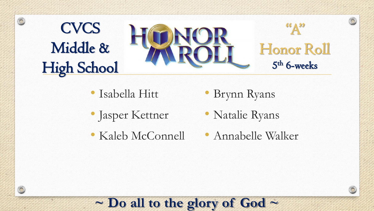

- Isabella Hitt
- Jasper Kettner

 $\circledcirc$ 

• Kaleb McConnell

- Brynn Ryans
- Natalie Ryans
- Annabelle Walker

 $\bigcirc$ 

#### **~ Do all to the glory of God ~**